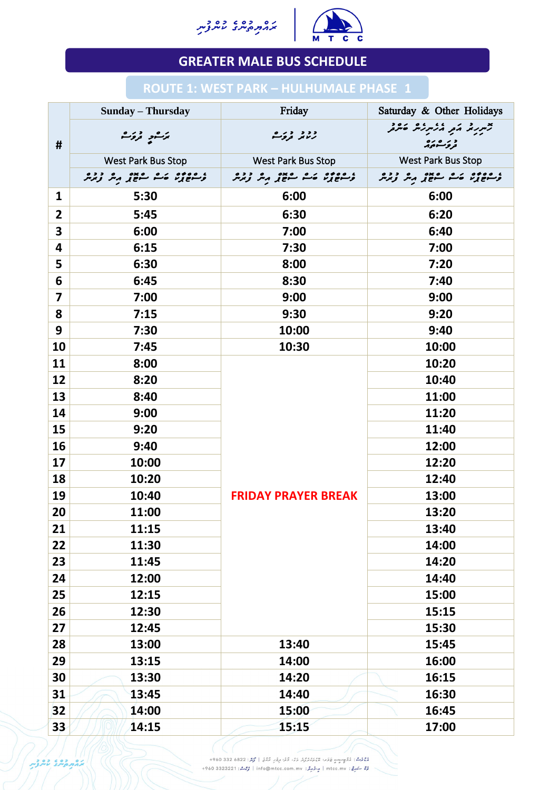



|                         | <b>Sunday – Thursday</b>                              | Friday                                                                                                                                                                                   | Saturday & Other Holidays                                                   |
|-------------------------|-------------------------------------------------------|------------------------------------------------------------------------------------------------------------------------------------------------------------------------------------------|-----------------------------------------------------------------------------|
| #                       | برگرد دره شده<br>مرگ                                  | د د د در ه<br>رسمر تروگ                                                                                                                                                                  | جبررتم مو مزبر که مور<br>و ره ره<br>تروگر                                   |
|                         | <b>West Park Bus Stop</b>                             | <b>West Park Bus Stop</b>                                                                                                                                                                | <b>West Park Bus Stop</b>                                                   |
|                         | ، ٥٥٥٥ د ٥ ٥x٥ د ٥ د ٥<br>وسوچ يون حسو سوچ پرسر ويوسر | ، ٥٥٥٥ زه ٥ ٠٥٥ ده دده<br>وسرح پر ده سرح پر مر ویرس                                                                                                                                      | ، ٥٥٥٥ ، ٥ ، ٥ ، ٥ ، ٥ ، ٥ ، ٥<br>وسوچ يون حسن سوچ ب <sub>ر</sub> بير توجهر |
| 1                       | 5:30                                                  | 6:00                                                                                                                                                                                     | 6:00                                                                        |
| $\overline{2}$          | 5:45                                                  | 6:30                                                                                                                                                                                     | 6:20                                                                        |
| $\overline{\mathbf{3}}$ | 6:00                                                  | 7:00                                                                                                                                                                                     | 6:40                                                                        |
| 4                       | 6:15                                                  | 7:30                                                                                                                                                                                     | 7:00                                                                        |
| 5                       | 6:30                                                  | 8:00                                                                                                                                                                                     | 7:20                                                                        |
| 6                       | 6:45                                                  | 8:30                                                                                                                                                                                     | 7:40                                                                        |
| $\overline{\mathbf{7}}$ | 7:00                                                  | 9:00                                                                                                                                                                                     | 9:00                                                                        |
| 8                       | 7:15                                                  | 9:30                                                                                                                                                                                     | 9:20                                                                        |
| 9                       | 7:30                                                  | 10:00                                                                                                                                                                                    | 9:40                                                                        |
| 10                      | 7:45                                                  | 10:30                                                                                                                                                                                    | 10:00                                                                       |
| 11                      | 8:00                                                  | <b>FRIDAY PRAYER BREAK</b>                                                                                                                                                               | 10:20                                                                       |
| 12                      | 8:20                                                  |                                                                                                                                                                                          | 10:40                                                                       |
| 13                      | 8:40                                                  |                                                                                                                                                                                          | 11:00                                                                       |
| 14                      | 9:00                                                  |                                                                                                                                                                                          | 11:20                                                                       |
| 15                      | 9:20                                                  |                                                                                                                                                                                          | 11:40                                                                       |
| <b>16</b>               | 9:40                                                  |                                                                                                                                                                                          | 12:00                                                                       |
| 17                      | 10:00                                                 |                                                                                                                                                                                          | 12:20                                                                       |
| 18                      | 10:20                                                 |                                                                                                                                                                                          | 12:40                                                                       |
| 19                      | 10:40                                                 |                                                                                                                                                                                          | 13:00                                                                       |
| 20                      | 11:00                                                 |                                                                                                                                                                                          | 13:20                                                                       |
| 21                      | 11:15                                                 |                                                                                                                                                                                          | 13:40                                                                       |
| 22                      | 11:30                                                 |                                                                                                                                                                                          | 14:00                                                                       |
| 23                      | 11:45                                                 |                                                                                                                                                                                          | 14:20                                                                       |
| 24                      | 12:00                                                 |                                                                                                                                                                                          | 14:40                                                                       |
| 25                      | 12:15                                                 |                                                                                                                                                                                          | 15:00                                                                       |
| 26                      | 12:30                                                 |                                                                                                                                                                                          | 15:15                                                                       |
| 27                      | 12:45                                                 |                                                                                                                                                                                          | 15:30                                                                       |
| 28                      | 13:00                                                 | 13:40                                                                                                                                                                                    | 15:45                                                                       |
| 29                      | 13:15                                                 | 14:00                                                                                                                                                                                    | 16:00                                                                       |
| 30                      | 13:30                                                 | 14:20                                                                                                                                                                                    | 16:15                                                                       |
| 31                      | 13:45                                                 | 14:40                                                                                                                                                                                    | 16:30                                                                       |
| 32                      | 14:00                                                 | 15:00                                                                                                                                                                                    | 16:45                                                                       |
| 33                      | 14:15                                                 | 15:15                                                                                                                                                                                    | 17:00                                                                       |
| OD COD ON               |                                                       | مُعْمَرُهُ: مُؤْمِنٍ حَوَمَ عَمَّدَ مُعْمَّدُ وَدْ، وَدْ، وَدْ، مِرْمَزِ إِمَّامَ 22 332 6800+<br>عُرْ سَهِ عَ : mtcc.mv   مِ-تَهْرِ بْنِ info@mtcc.com.mv   دُرْسْدْ: 4960 3323221 +960 |                                                                             |

## **GREATER MALE BUS SCHEDULE**

## **ROUTE 1: WEST PARK – HULHUMALE PHASE****1**